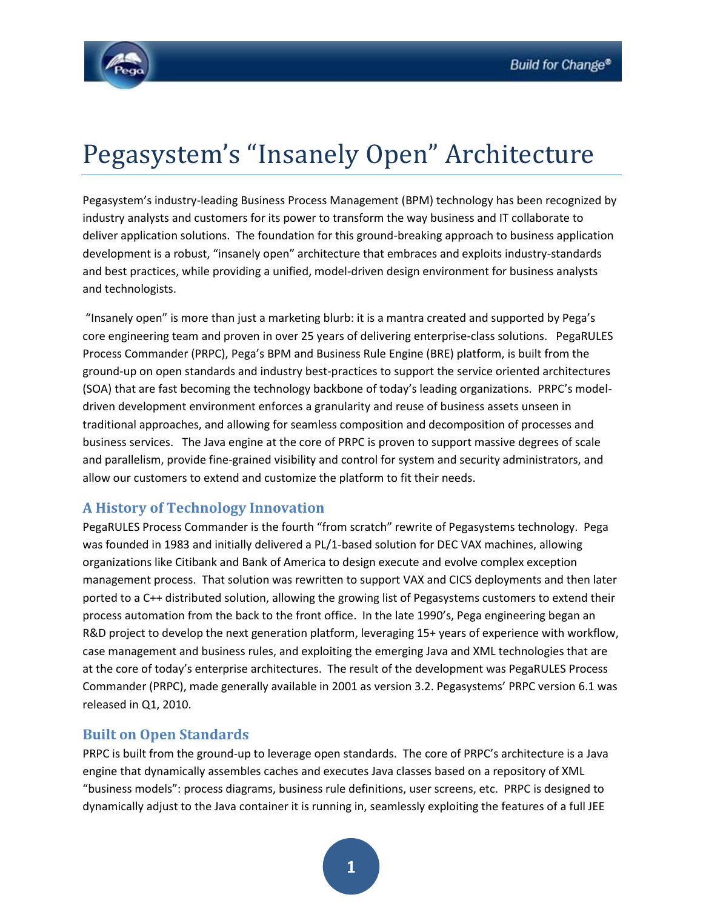

# Pegasystem's "Insanely Open" Architecture

Pegasystem's industry-leading Business Process Management (BPM) technology has been recognized by industry analysts and customers for its power to transform the way business and IT collaborate to deliver application solutions. The foundation for this ground-breaking approach to business application development is a robust, "insanely open" architecture that embraces and exploits industry-standards and best practices, while providing a unified, model-driven design environment for business analysts and technologists.

"Insanely open" is more than just a marketing blurb: it is a mantra created and supported by Pega's core engineering team and proven in over 25 years of delivering enterprise-class solutions. PegaRULES Process Commander (PRPC), Pega's BPM and Business Rule Engine (BRE) platform, is built from the ground-up on open standards and industry best-practices to support the service oriented architectures (SOA) that are fast becoming the technology backbone of today's leading organizations. PRPC's modeldriven development environment enforces a granularity and reuse of business assets unseen in traditional approaches, and allowing for seamless composition and decomposition of processes and business services. The Java engine at the core of PRPC is proven to support massive degrees of scale and parallelism, provide fine-grained visibility and control for system and security administrators, and allow our customers to extend and customize the platform to fit their needs.

# **A History of Technology Innovation**

PegaRULES Process Commander is the fourth "from scratch" rewrite of Pegasystems technology. Pega was founded in 1983 and initially delivered a PL/1-based solution for DEC VAX machines, allowing organizations like Citibank and Bank of America to design execute and evolve complex exception management process. That solution was rewritten to support VAX and CICS deployments and then later ported to a C++ distributed solution, allowing the growing list of Pegasystems customers to extend their process automation from the back to the front office. In the late 1990's, Pega engineering began an R&D project to develop the next generation platform, leveraging 15+ years of experience with workflow, case management and business rules, and exploiting the emerging Java and XML technologies that are at the core of today's enterprise architectures. The result of the development was PegaRULES Process Commander (PRPC), made generally available in 2001 as version 3.2. Pegasystems' PRPC version 6.1 was released in Q1, 2010.

## **Built on Open Standards**

PRPC is built from the ground-up to leverage open standards. The core of PRPC's architecture is a Java engine that dynamically assembles caches and executes Java classes based on a repository of XML "business models": process diagrams, business rule definitions, user screens, etc. PRPC is designed to dynamically adjust to the Java container it is running in, seamlessly exploiting the features of a full JEE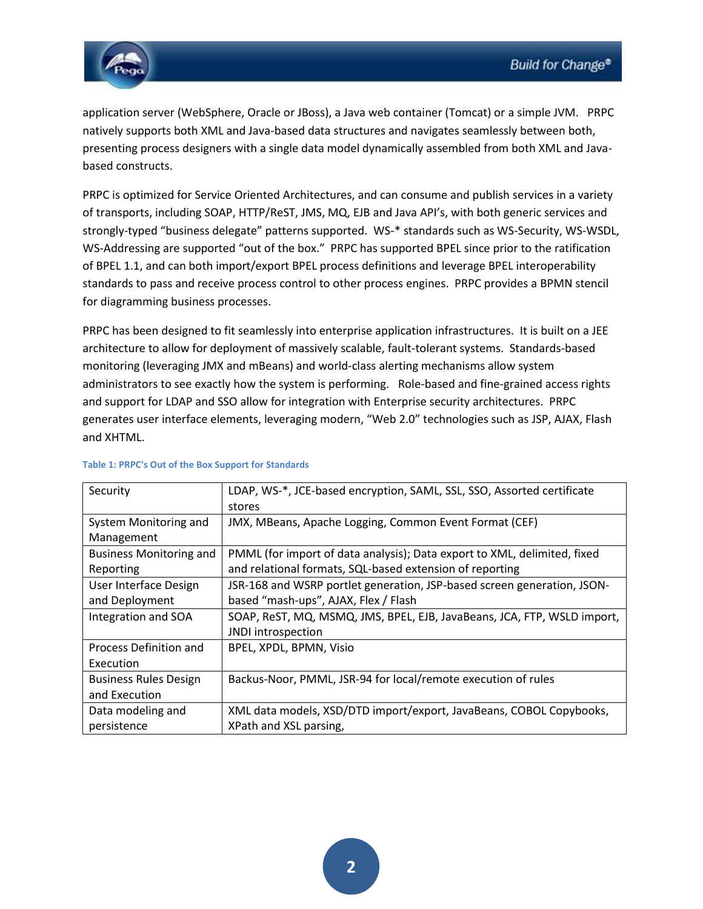

application server (WebSphere, Oracle or JBoss), a Java web container (Tomcat) or a simple JVM. PRPC natively supports both XML and Java-based data structures and navigates seamlessly between both, presenting process designers with a single data model dynamically assembled from both XML and Javabased constructs.

PRPC is optimized for Service Oriented Architectures, and can consume and publish services in a variety of transports, including SOAP, HTTP/ReST, JMS, MQ, EJB and Java API's, with both generic services and strongly-typed "business delegate" patterns supported. WS-\* standards such as WS-Security, WS-WSDL, WS-Addressing are supported "out of the box." PRPC has supported BPEL since prior to the ratification of BPEL 1.1, and can both import/export BPEL process definitions and leverage BPEL interoperability standards to pass and receive process control to other process engines. PRPC provides a BPMN stencil for diagramming business processes.

PRPC has been designed to fit seamlessly into enterprise application infrastructures. It is built on a JEE architecture to allow for deployment of massively scalable, fault-tolerant systems. Standards-based monitoring (leveraging JMX and mBeans) and world-class alerting mechanisms allow system administrators to see exactly how the system is performing. Role-based and fine-grained access rights and support for LDAP and SSO allow for integration with Enterprise security architectures. PRPC generates user interface elements, leveraging modern, "Web 2.0" technologies such as JSP, AJAX, Flash and XHTML.

| Security                       | LDAP, WS-*, JCE-based encryption, SAML, SSL, SSO, Assorted certificate   |
|--------------------------------|--------------------------------------------------------------------------|
|                                | stores                                                                   |
| System Monitoring and          | JMX, MBeans, Apache Logging, Common Event Format (CEF)                   |
| Management                     |                                                                          |
| <b>Business Monitoring and</b> | PMML (for import of data analysis); Data export to XML, delimited, fixed |
| Reporting                      | and relational formats, SQL-based extension of reporting                 |
| User Interface Design          | JSR-168 and WSRP portlet generation, JSP-based screen generation, JSON-  |
| and Deployment                 | based "mash-ups", AJAX, Flex / Flash                                     |
| Integration and SOA            | SOAP, ReST, MQ, MSMQ, JMS, BPEL, EJB, JavaBeans, JCA, FTP, WSLD import,  |
|                                | JNDI introspection                                                       |
| Process Definition and         | BPEL, XPDL, BPMN, Visio                                                  |
| Execution                      |                                                                          |
| <b>Business Rules Design</b>   | Backus-Noor, PMML, JSR-94 for local/remote execution of rules            |
| and Execution                  |                                                                          |
| Data modeling and              | XML data models, XSD/DTD import/export, JavaBeans, COBOL Copybooks,      |
| persistence                    | XPath and XSL parsing,                                                   |

#### **Table 1: PRPC's Out of the Box Support for Standards**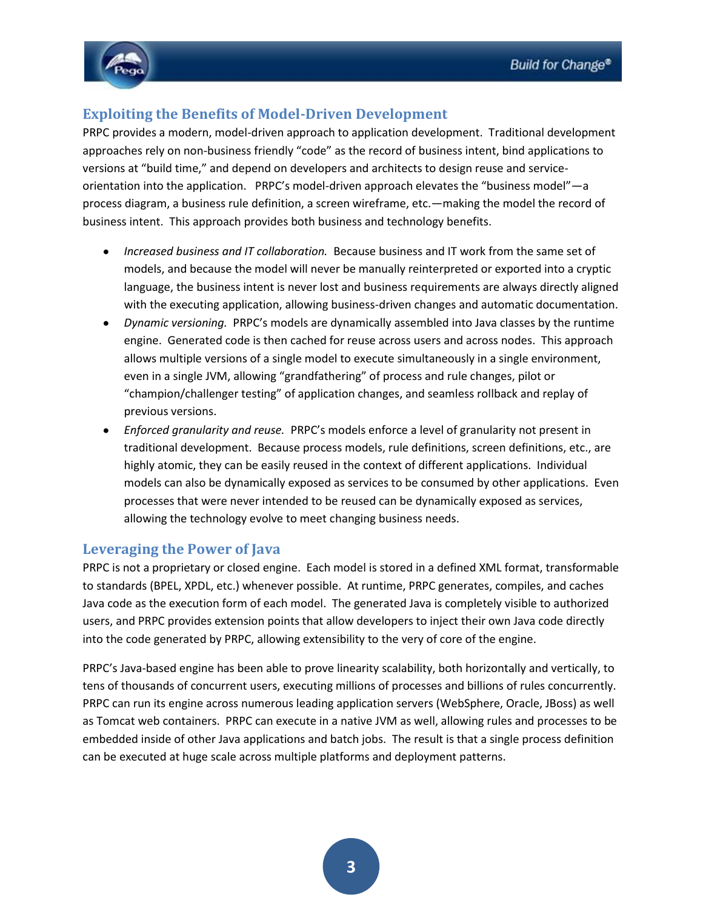

## **Exploiting the Benefits of Model-Driven Development**

PRPC provides a modern, model-driven approach to application development. Traditional development approaches rely on non-business friendly "code" as the record of business intent, bind applications to versions at "build time," and depend on developers and architects to design reuse and serviceorientation into the application. PRPC's model-driven approach elevates the "business model"—a process diagram, a business rule definition, a screen wireframe, etc.—making the model the record of business intent. This approach provides both business and technology benefits.

- *Increased business and IT collaboration.* Because business and IT work from the same set of models, and because the model will never be manually reinterpreted or exported into a cryptic language, the business intent is never lost and business requirements are always directly aligned with the executing application, allowing business-driven changes and automatic documentation.
- *Dynamic versioning.* PRPC's models are dynamically assembled into Java classes by the runtime engine. Generated code is then cached for reuse across users and across nodes. This approach allows multiple versions of a single model to execute simultaneously in a single environment, even in a single JVM, allowing "grandfathering" of process and rule changes, pilot or "champion/challenger testing" of application changes, and seamless rollback and replay of previous versions.
- *Enforced granularity and reuse.* PRPC's models enforce a level of granularity not present in traditional development. Because process models, rule definitions, screen definitions, etc., are highly atomic, they can be easily reused in the context of different applications. Individual models can also be dynamically exposed as services to be consumed by other applications. Even processes that were never intended to be reused can be dynamically exposed as services, allowing the technology evolve to meet changing business needs.

### **Leveraging the Power of Java**

PRPC is not a proprietary or closed engine. Each model is stored in a defined XML format, transformable to standards (BPEL, XPDL, etc.) whenever possible. At runtime, PRPC generates, compiles, and caches Java code as the execution form of each model. The generated Java is completely visible to authorized users, and PRPC provides extension points that allow developers to inject their own Java code directly into the code generated by PRPC, allowing extensibility to the very of core of the engine.

PRPC's Java-based engine has been able to prove linearity scalability, both horizontally and vertically, to tens of thousands of concurrent users, executing millions of processes and billions of rules concurrently. PRPC can run its engine across numerous leading application servers (WebSphere, Oracle, JBoss) as well as Tomcat web containers. PRPC can execute in a native JVM as well, allowing rules and processes to be embedded inside of other Java applications and batch jobs. The result is that a single process definition can be executed at huge scale across multiple platforms and deployment patterns.